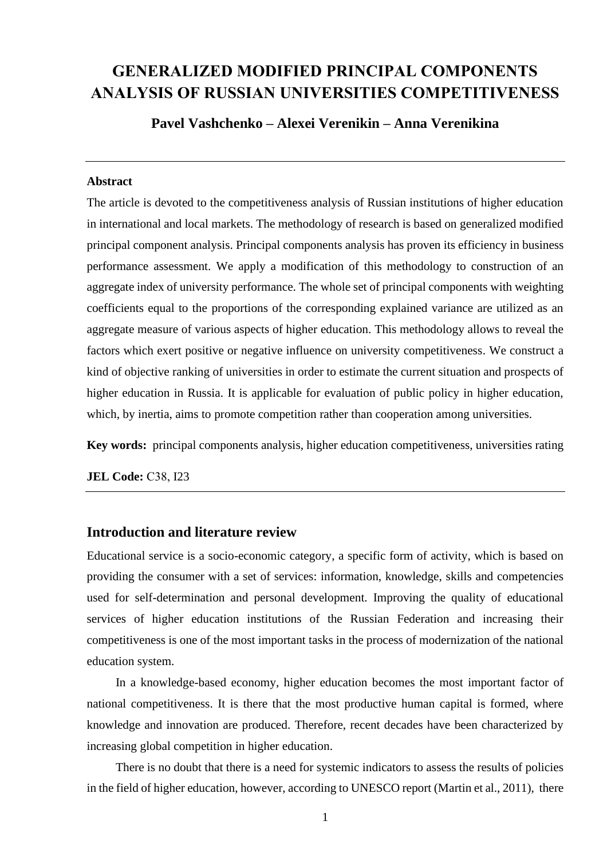# **GENERALIZED MODIFIED PRINCIPAL COMPONENTS ANALYSIS OF RUSSIAN UNIVERSITIES COMPETITIVENESS**

**Pavel Vashchenko – Alexei Verenikin – Anna Verenikina**

#### **Abstract**

The article is devoted to the competitiveness analysis of Russian institutions of higher education in international and local markets. The methodology of research is based on generalized modified principal component analysis. Principal components analysis has proven its efficiency in business performance assessment. We apply a modification of this methodology to construction of an aggregate index of university performance. The whole set of principal components with weighting coefficients equal to the proportions of the corresponding explained variance are utilized as an aggregate measure of various aspects of higher education. This methodology allows to reveal the factors which exert positive or negative influence on university competitiveness. We construct a kind of objective ranking of universities in order to estimate the current situation and prospects of higher education in Russia. It is applicable for evaluation of public policy in higher education, which, by inertia, aims to promote competition rather than cooperation among universities.

**Key words:** principal components analysis, higher education competitiveness, universities rating

**JEL Code:** С38, I23

## **Introduction and literature review**

Educational service is a socio-economic category, a specific form of activity, which is based on providing the consumer with a set of services: information, knowledge, skills and competencies used for self-determination and personal development. Improving the quality of educational services of higher education institutions of the Russian Federation and increasing their competitiveness is one of the most important tasks in the process of modernization of the national education system.

In a knowledge-based economy, higher education becomes the most important factor of national competitiveness. It is there that the most productive human capital is formed, where knowledge and innovation are produced. Therefore, recent decades have been characterized by increasing global competition in higher education.

There is no doubt that there is a need for systemic indicators to assess the results of policies in the field of higher education, however, according to UNESCO report (Martin et al., 2011), there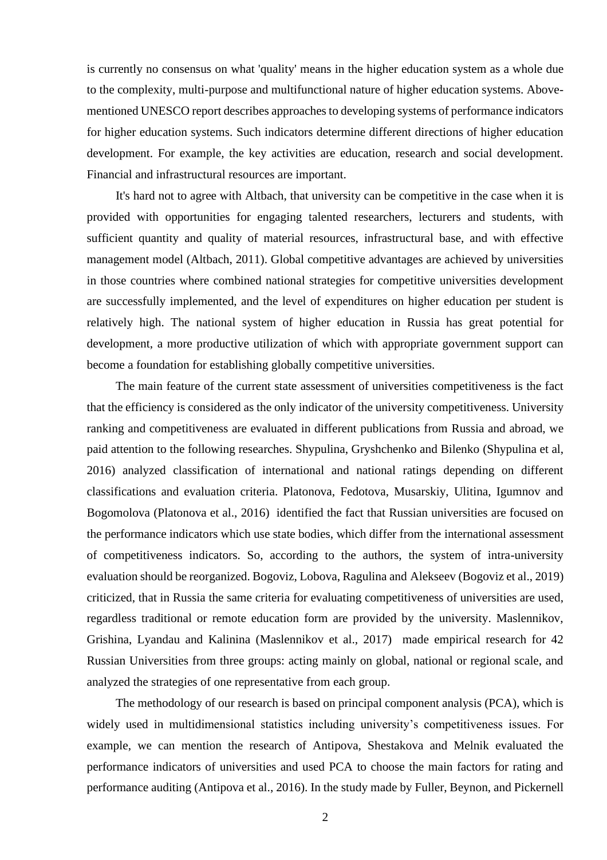is currently no consensus on what 'quality' means in the higher education system as a whole due to the complexity, multi-purpose and multifunctional nature of higher education systems. Abovementioned UNESCO report describes approaches to developing systems of performance indicators for higher education systems. Such indicators determine different directions of higher education development. For example, the key activities are education, research and social development. Financial and infrastructural resources are important.

It's hard not to agree with Altbach, that university can be competitive in the case when it is provided with opportunities for engaging talented researchers, lecturers and students, with sufficient quantity and quality of material resources, infrastructural base, and with effective management model (Altbach, 2011). Global competitive advantages are achieved by universities in those countries where combined national strategies for competitive universities development are successfully implemented, and the level of expenditures on higher education per student is relatively high. The national system of higher education in Russia has great potential for development, a more productive utilization of which with appropriate government support can become a foundation for establishing globally competitive universities.

The main feature of the current state assessment of universities competitiveness is the fact that the efficiency is considered as the only indicator of the university competitiveness. University ranking and competitiveness are evaluated in different publications from Russia and abroad, we paid attention to the following researches. Shypulina, Gryshchenko and Bilenko (Shypulina et al, 2016) analyzed classification of international and national ratings depending on different classifications and evaluation criteria. Platonova, Fedotova, Musarskiy, Ulitina, Igumnov and Bogomolova (Platonova et al., 2016) identified the fact that Russian universities are focused on the performance indicators which use state bodies, which differ from the international assessment of competitiveness indicators. So, according to the authors, the system of intra-university evaluation should be reorganized. Bogoviz, Lobova, Ragulina and Alekseev (Bogoviz et al., 2019) criticized, that in Russia the same criteria for evaluating competitiveness of universities are used, regardless traditional or remote education form are provided by the university. Maslennikov, Grishina, Lyandau and Kalinina (Maslennikov et al., 2017) made empirical research for 42 Russian Universities from three groups: acting mainly on global, national or regional scale, and analyzed the strategies of one representative from each group.

The methodology of our research is based on principal component analysis (PCA), which is widely used in multidimensional statistics including university's competitiveness issues. For example, we can mention the research of Antipova, Shestakova and Melnik evaluated the performance indicators of universities and used PCA to choose the main factors for rating and performance auditing (Antipova et al., 2016). In the study made by Fuller, Beynon, and Pickernell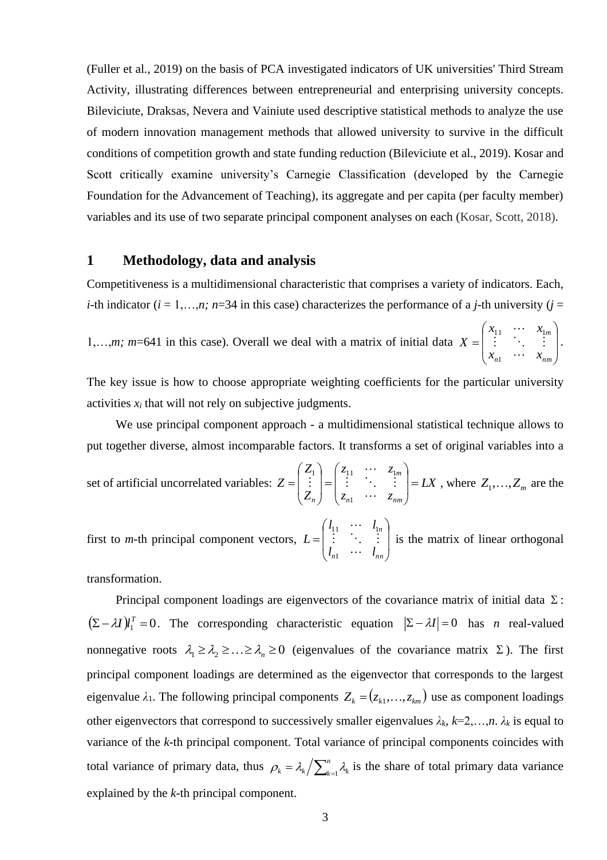(Fuller et al., 2019) on the basis of PCA investigated indicators of UK universities' Third Stream Activity, illustrating differences between entrepreneurial and enterprising university concepts. Bileviciute, Draksas, Nevera and Vainiute used descriptive statistical methods to analyze the use of modern innovation management methods that allowed university to survive in the difficult conditions of competition growth and state funding reduction (Bileviciute et al., 2019). Kosar and Scott critically examine university's Carnegie Classification (developed by the Carnegie Foundation for the Advancement of Teaching), its aggregate and per capita (per faculty member) variables and its use of two separate principal component analyses on each (Kosar, Scott, 2018).

### **1 Methodology, data and analysis**

Competitiveness is a multidimensional characteristic that comprises a variety of indicators. Each, *i*-th indicator ( $i = 1,...,n$ ;  $n=34$  in this case) characterizes the performance of a *j*-th university ( $j =$ 

1,…,*m; m*=641 in this case). Overall we deal with a matrix of initial data l | J  $\backslash$  $\overline{\phantom{a}}$  $\overline{\phantom{a}}$ L ſ = *n nm m*  $x_{1}$   $\cdots$   $x$  $x_{11}$   $\cdots$   $x$ *X* . . .  $\cdots$ 1  $\begin{bmatrix} 1 & 1 & \cdots & 1m \\ \vdots & \ddots & \vdots \end{bmatrix}$ .

The key issue is how to choose appropriate weighting coefficients for the particular university activities  $x_i$  that will not rely on subjective judgments.

We use principal component approach - a multidimensional statistical technique allows to put together diverse, almost incomparable factors. It transforms a set of original variables into a

set of artificial uncorrelated variables:  $Z = | \cdot | = | \cdot | \cdot | = LX$ *z*<sub>*n*1</sub>  $\cdots$  *z z*<sub>11</sub> ... *z Z Z Z n nm m n*  $\int$  $\backslash$  $\mathbf{r}$  $\mathbf{r}$ L ſ  $\int$  $\backslash$  $\mathbf{r}$  $\mathbf{r}$ L ſ =  $\cdots$   $\begin{bmatrix} 1 \\ 1 \end{bmatrix} = \begin{bmatrix} \begin{bmatrix} 1 \\ 1 \end{bmatrix} & \begin{bmatrix} 1 \\ 1 \end{bmatrix} \\ \begin{bmatrix} 1 \\ 1 \end{bmatrix} & \begin{bmatrix} 1 \\ 1 \end{bmatrix} \end{bmatrix}$ 1  $\begin{vmatrix} 1 \\ -1 \end{vmatrix} = \begin{vmatrix} z_1 \\ \vdots \end{vmatrix}$   $\therefore$   $\begin{vmatrix} z_1 \\ \vdots \end{vmatrix} = LX$ , where  $Z_1, \dots, Z_m$  are the

first to *m*-th principal component vectors, I J )  $\overline{\phantom{a}}$  $\overline{\phantom{a}}$ L ſ = *n nn n l l l l L*  $\cdots$ : : :  $\cdots$ 1  $\begin{bmatrix} 11 & 11 \\ 11 & 11 \end{bmatrix}$  is the matrix of linear orthogonal

transformation.

Principal component loadings are eigenvectors of the covariance matrix of initial data  $\Sigma$ :  $(\Sigma - \lambda I)I_1^T = 0$ . The corresponding characteristic equation  $|\Sigma - \lambda I| = 0$  has *n* real-valued nonnegative roots  $\lambda_1 \geq \lambda_2 \geq \ldots \geq \lambda_n \geq 0$  (eigenvalues of the covariance matrix  $\Sigma$ ). The first principal component loadings are determined as the eigenvector that corresponds to the largest eigenvalue  $\lambda_1$ . The following principal components  $Z_k = (z_{k1}, \ldots, z_{km})$  use as component loadings other eigenvectors that correspond to successively smaller eigenvalues  $\lambda_k$ ,  $k=2,\ldots,n$ .  $\lambda_k$  is equal to variance of the *k*-th principal component. Total variance of principal components coincides with total variance of primary data, thus  $\rho_k = \lambda_k / \sum_{k=1}^n$ *n*  $\rho_k = \lambda_k / \sum_{k=1}^n \lambda_k$  is the share of total primary data variance explained by the *k*-th principal component.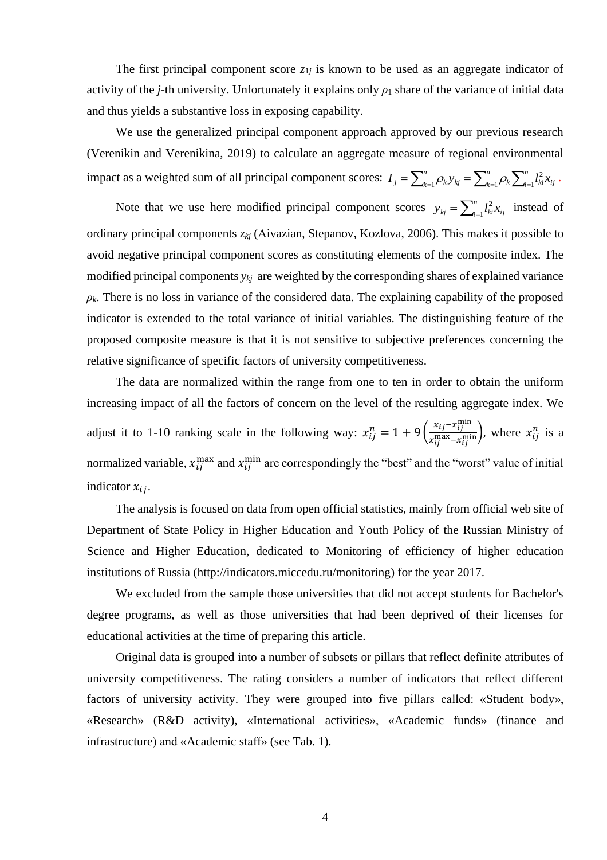The first principal component score  $z_{1j}$  is known to be used as an aggregate indicator of activity of the *j*-th university. Unfortunately it explains only  $\rho_1$  share of the variance of initial data and thus yields a substantive loss in exposing capability.

We use the generalized principal component approach approved by our previous research (Verenikin and Verenikina, 2019) to calculate an aggregate measure of regional environmental impact as a weighted sum of all principal component scores:  $I_j = \sum_{k=1}^n \rho_k y_{kj} = \sum_{k=1}^n \rho_k \sum_{i=1}^n \rho_k$ *k n*  $\sum_{i=1}^k$   $\sum_{i=1}^k$ *n*  $I_j = \sum_{k=1}^N \rho_k y_{kj} = \sum_{k=1}^N \rho_k \sum_{i=1}^N l_{ki}^2 x_{kj}$ 2  $\sum_{k=1}^{n} \rho_k y_{kj} = \sum_{k=1}^{n} \rho_k \sum_{i=1}^{n} l_{ki}^2 x_{ij}.$ 

Note that we use here modified principal component scores  $y_{kj} = \sum_{i=1}^{n} y_{kj}$ *n*  $y_{kj} = \sum_{i=1}^{j} l_{ki}^{2} x_{ij}$  $\int_{\alpha}^{2} x_{ii}$  instead of ordinary principal components *zkj* (Аivazian, Stepanov, Kozlova, 2006). This makes it possible to avoid negative principal component scores as constituting elements of the composite index. The modified principal components *ykj* are weighted by the corresponding shares of explained variance  $\rho_k$ . There is no loss in variance of the considered data. The explaining capability of the proposed indicator is extended to the total variance of initial variables. The distinguishing feature of the proposed composite measure is that it is not sensitive to subjective preferences concerning the relative significance of specific factors of university competitiveness.

The data are normalized within the range from one to ten in order to obtain the uniform increasing impact of all the factors of concern on the level of the resulting aggregate index. We adjust it to 1-10 ranking scale in the following way:  $x_{ij}^n = 1 + 9 \left( \frac{x_{ij} - x_{ij}^{\min}}{x_{ij}^{\max} - x_{ij}^{\min}} \right)$  $\frac{x_{ij}-x_{ij}}{x_{ij}^{\max}-x_{ij}^{\min}}$ , where  $x_{ij}^n$  is a normalized variable,  $x_{ij}^{\text{max}}$  and  $x_{ij}^{\text{min}}$  are correspondingly the "best" and the "worst" value of initial indicator  $x_{ii}$ .

The analysis is focused on data from open official statistics, mainly from official web site of Department of State Policy in Higher Education and Youth Policy of the Russian Ministry of Science and Higher Education, dedicated to Monitoring of efficiency of higher education institutions of Russia [\(http://indicators.miccedu.ru/monitoring\)](http://indicators.miccedu.ru/monitoring) for the year 2017.

We excluded from the sample those universities that did not accept students for Bachelor's degree programs, as well as those universities that had been deprived of their licenses for educational activities at the time of preparing this article.

Original data is grouped into a number of subsets or pillars that reflect definite attributes of university competitiveness. The rating considers a number of indicators that reflect different factors of university activity. They were grouped into five pillars called: «Student body», «Research» (R&D activity), «International activities», «Academic funds» (finance and infrastructure) and «Academic staff» (see Tab. 1).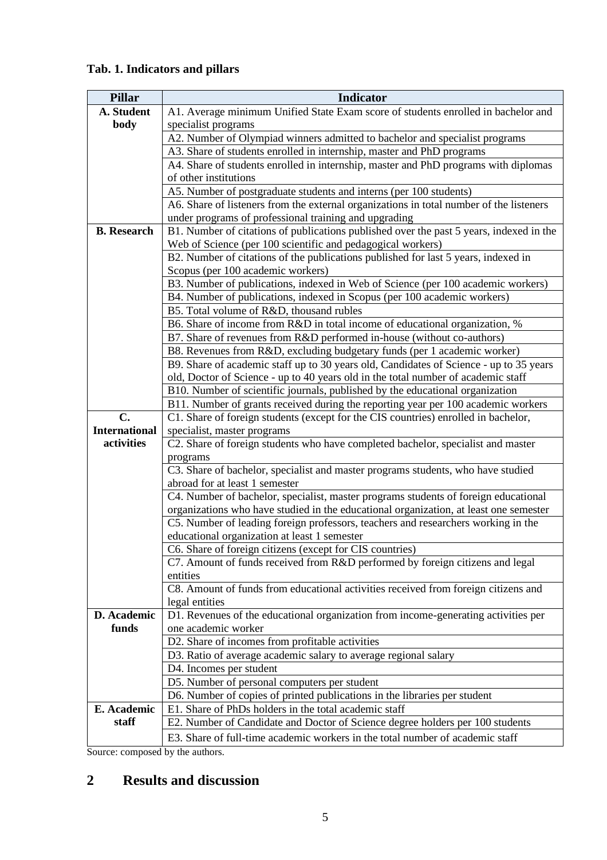# **Tab. 1. Indicators and pillars**

| <b>Pillar</b>        | <b>Indicator</b>                                                                                                                  |  |  |  |  |  |  |
|----------------------|-----------------------------------------------------------------------------------------------------------------------------------|--|--|--|--|--|--|
| A. Student           | A1. Average minimum Unified State Exam score of students enrolled in bachelor and                                                 |  |  |  |  |  |  |
| body                 | specialist programs                                                                                                               |  |  |  |  |  |  |
|                      | A2. Number of Olympiad winners admitted to bachelor and specialist programs                                                       |  |  |  |  |  |  |
|                      | A3. Share of students enrolled in internship, master and PhD programs                                                             |  |  |  |  |  |  |
|                      | A4. Share of students enrolled in internship, master and PhD programs with diplomas                                               |  |  |  |  |  |  |
|                      | of other institutions                                                                                                             |  |  |  |  |  |  |
|                      | A5. Number of postgraduate students and interns (per 100 students)                                                                |  |  |  |  |  |  |
|                      | A6. Share of listeners from the external organizations in total number of the listeners                                           |  |  |  |  |  |  |
|                      | under programs of professional training and upgrading                                                                             |  |  |  |  |  |  |
| <b>B.</b> Research   | B1. Number of citations of publications published over the past 5 years, indexed in the                                           |  |  |  |  |  |  |
|                      | Web of Science (per 100 scientific and pedagogical workers)                                                                       |  |  |  |  |  |  |
|                      | B2. Number of citations of the publications published for last 5 years, indexed in                                                |  |  |  |  |  |  |
|                      | Scopus (per 100 academic workers)                                                                                                 |  |  |  |  |  |  |
|                      | B3. Number of publications, indexed in Web of Science (per 100 academic workers)                                                  |  |  |  |  |  |  |
|                      | B4. Number of publications, indexed in Scopus (per 100 academic workers)                                                          |  |  |  |  |  |  |
|                      | B5. Total volume of R&D, thousand rubles                                                                                          |  |  |  |  |  |  |
|                      | B6. Share of income from R&D in total income of educational organization, %                                                       |  |  |  |  |  |  |
|                      | B7. Share of revenues from R&D performed in-house (without co-authors)                                                            |  |  |  |  |  |  |
|                      | B8. Revenues from R&D, excluding budgetary funds (per 1 academic worker)                                                          |  |  |  |  |  |  |
|                      | B9. Share of academic staff up to 30 years old, Candidates of Science - up to 35 years                                            |  |  |  |  |  |  |
|                      | old, Doctor of Science - up to 40 years old in the total number of academic staff                                                 |  |  |  |  |  |  |
|                      | B10. Number of scientific journals, published by the educational organization                                                     |  |  |  |  |  |  |
|                      | B11. Number of grants received during the reporting year per 100 academic workers                                                 |  |  |  |  |  |  |
| $C_{\bullet}$        | C1. Share of foreign students (except for the CIS countries) enrolled in bachelor,                                                |  |  |  |  |  |  |
| <b>International</b> | specialist, master programs                                                                                                       |  |  |  |  |  |  |
| activities           | C2. Share of foreign students who have completed bachelor, specialist and master                                                  |  |  |  |  |  |  |
|                      | programs                                                                                                                          |  |  |  |  |  |  |
|                      | C3. Share of bachelor, specialist and master programs students, who have studied                                                  |  |  |  |  |  |  |
|                      | abroad for at least 1 semester                                                                                                    |  |  |  |  |  |  |
|                      | C4. Number of bachelor, specialist, master programs students of foreign educational                                               |  |  |  |  |  |  |
|                      | organizations who have studied in the educational organization, at least one semester                                             |  |  |  |  |  |  |
|                      | C5. Number of leading foreign professors, teachers and researchers working in the<br>educational organization at least 1 semester |  |  |  |  |  |  |
|                      | C6. Share of foreign citizens (except for CIS countries)                                                                          |  |  |  |  |  |  |
|                      | C7. Amount of funds received from R&D performed by foreign citizens and legal                                                     |  |  |  |  |  |  |
|                      | entities                                                                                                                          |  |  |  |  |  |  |
|                      | C8. Amount of funds from educational activities received from foreign citizens and                                                |  |  |  |  |  |  |
|                      | legal entities                                                                                                                    |  |  |  |  |  |  |
| D. Academic          | D1. Revenues of the educational organization from income-generating activities per                                                |  |  |  |  |  |  |
| funds                | one academic worker                                                                                                               |  |  |  |  |  |  |
|                      | D2. Share of incomes from profitable activities                                                                                   |  |  |  |  |  |  |
|                      | D3. Ratio of average academic salary to average regional salary                                                                   |  |  |  |  |  |  |
|                      | D4. Incomes per student                                                                                                           |  |  |  |  |  |  |
|                      | D5. Number of personal computers per student                                                                                      |  |  |  |  |  |  |
|                      | D6. Number of copies of printed publications in the libraries per student                                                         |  |  |  |  |  |  |
| E. Academic          | E1. Share of PhDs holders in the total academic staff                                                                             |  |  |  |  |  |  |
| staff                | E2. Number of Candidate and Doctor of Science degree holders per 100 students                                                     |  |  |  |  |  |  |
|                      | E3. Share of full-time academic workers in the total number of academic staff                                                     |  |  |  |  |  |  |

Source: composed by the authors.

# **2 Results and discussion**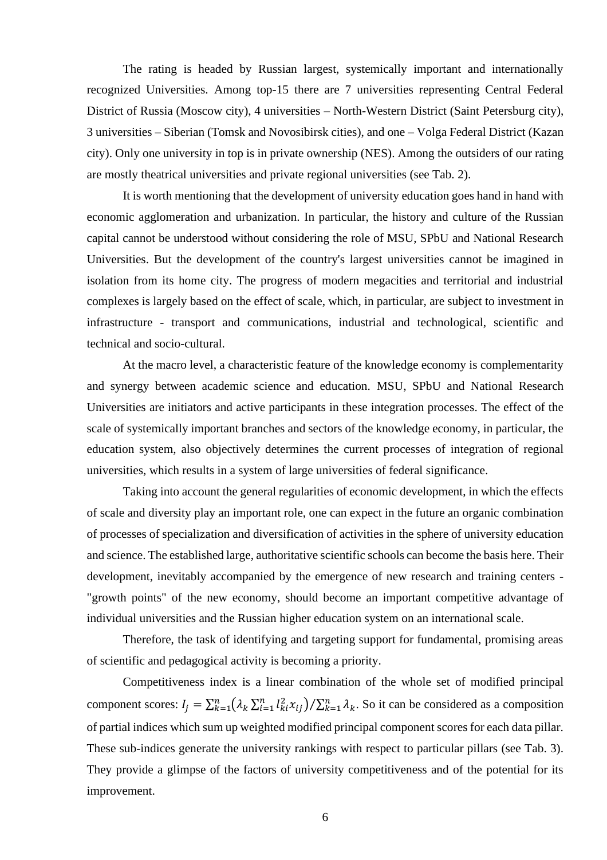The rating is headed by Russian largest, systemically important and internationally recognized Universities. Among top-15 there are 7 universities representing Central Federal District of Russia (Moscow city), 4 universities – North-Western District (Saint Petersburg city), 3 universities – Siberian (Tomsk and Novosibirsk cities), and one – Volga Federal District (Kazan city). Only one university in top is in private ownership (NES). Among the outsiders of our rating are mostly theatrical universities and private regional universities (see Tab. 2).

It is worth mentioning that the development of university education goes hand in hand with economic agglomeration and urbanization. In particular, the history and culture of the Russian capital cannot be understood without considering the role of MSU, SPbU and National Research Universities. But the development of the country's largest universities cannot be imagined in isolation from its home city. The progress of modern megacities and territorial and industrial complexes is largely based on the effect of scale, which, in particular, are subject to investment in infrastructure - transport and communications, industrial and technological, scientific and technical and socio-cultural.

At the macro level, a characteristic feature of the knowledge economy is complementarity and synergy between academic science and education. MSU, SPbU and National Research Universities are initiators and active participants in these integration processes. The effect of the scale of systemically important branches and sectors of the knowledge economy, in particular, the education system, also objectively determines the current processes of integration of regional universities, which results in a system of large universities of federal significance.

Taking into account the general regularities of economic development, in which the effects of scale and diversity play an important role, one can expect in the future an organic combination of processes of specialization and diversification of activities in the sphere of university education and science. The established large, authoritative scientific schools can become the basis here. Their development, inevitably accompanied by the emergence of new research and training centers - "growth points" of the new economy, should become an important competitive advantage of individual universities and the Russian higher education system on an international scale.

Therefore, the task of identifying and targeting support for fundamental, promising areas of scientific and pedagogical activity is becoming a priority.

Competitiveness index is a linear combination of the whole set of modified principal component scores:  $I_j = \sum_{k=1}^n (\lambda_k \sum_{i=1}^n l_{ki}^2 x_{ij}) / \sum_{k=1}^n \lambda_k$ . So it can be considered as a composition of partial indices which sum up weighted modified principal component scores for each data pillar. These sub-indices generate the university rankings with respect to particular pillars (see Tab. 3). They provide a glimpse of the factors of university competitiveness and of the potential for its improvement.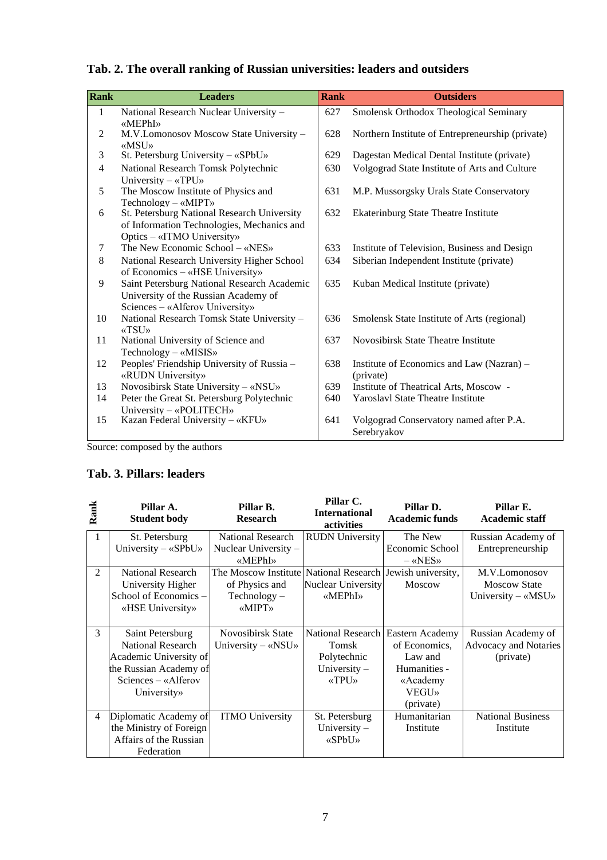|  |  |  |  |  | Tab. 2. The overall ranking of Russian universities: leaders and outsiders |  |  |
|--|--|--|--|--|----------------------------------------------------------------------------|--|--|
|--|--|--|--|--|----------------------------------------------------------------------------|--|--|

| Rank           | <b>Leaders</b>                                                                                                          | <b>Rank</b> | <b>Outsiders</b>                                       |
|----------------|-------------------------------------------------------------------------------------------------------------------------|-------------|--------------------------------------------------------|
| $\mathbf{1}$   | National Research Nuclear University -                                                                                  | 627         | Smolensk Orthodox Theological Seminary                 |
| 2              | «MEPhI»<br>M.V.Lomonosov Moscow State University -<br>«MSU»                                                             | 628         | Northern Institute of Entrepreneurship (private)       |
| 3              | St. Petersburg University - «SPbU»                                                                                      | 629         | Dagestan Medical Dental Institute (private)            |
| $\overline{4}$ | National Research Tomsk Polytechnic<br>University $-\alpha TPU$                                                         | 630         | Volgograd State Institute of Arts and Culture          |
| 5              | The Moscow Institute of Physics and<br>$Technology - \kappa MIPT$                                                       | 631         | M.P. Mussorgsky Urals State Conservatory               |
| 6              | St. Petersburg National Research University<br>of Information Technologies, Mechanics and<br>Optics - «ITMO University» | 632         | Ekaterinburg State Theatre Institute                   |
| 7              | The New Economic School $-\alpha$ NES»                                                                                  | 633         | Institute of Television, Business and Design           |
| 8              | National Research University Higher School<br>of Economics - «HSE University»                                           | 634         | Siberian Independent Institute (private)               |
| 9              | Saint Petersburg National Research Academic<br>University of the Russian Academy of<br>Sciences - «Alferov University»  | 635         | Kuban Medical Institute (private)                      |
| 10             | National Research Tomsk State University -<br>«TSU»                                                                     | 636         | Smolensk State Institute of Arts (regional)            |
| 11             | National University of Science and<br>Technology $-$ «MISIS»                                                            | 637         | Novosibirsk State Theatre Institute                    |
| 12             | Peoples' Friendship University of Russia -<br>«RUDN University»                                                         | 638         | Institute of Economics and Law (Nazran) –<br>(private) |
| 13             | Novosibirsk State University - «NSU»                                                                                    | 639         | Institute of Theatrical Arts, Moscow -                 |
| 14             | Peter the Great St. Petersburg Polytechnic<br>University $-$ «POLITECH»                                                 | 640         | <b>Yaroslavl State Theatre Institute</b>               |
| 15             | Kazan Federal University - «KFU»                                                                                        | 641         | Volgograd Conservatory named after P.A.<br>Serebryakov |

Source: composed by the authors

# **Tab. 3. Pillars: leaders**

| Rank           | Pillar A.<br><b>Student body</b> | Pillar B.<br><b>Research</b>                              | Pillar C.<br><b>International</b><br>activities | Pillar D.<br><b>Academic funds</b> | Pillar E.<br><b>Academic staff</b> |
|----------------|----------------------------------|-----------------------------------------------------------|-------------------------------------------------|------------------------------------|------------------------------------|
| 1              | St. Petersburg                   | <b>National Research</b>                                  | <b>RUDN</b> University                          | The New                            | Russian Academy of                 |
|                | University $-\kappa SPbU$        | Nuclear University -                                      |                                                 | Economic School                    | Entrepreneurship                   |
|                |                                  | «MEPhI»                                                   |                                                 | $-\kappa$ NES»                     |                                    |
| 2              | <b>National Research</b>         | The Moscow Institute National Research Jewish university, |                                                 |                                    | M.V.Lomonosov                      |
|                | University Higher                | of Physics and                                            | <b>Nuclear University</b>                       | <b>Moscow</b>                      | <b>Moscow State</b>                |
|                | School of Economics –            | $Technology -$                                            | «MEPhI»                                         |                                    | University - «MSU»                 |
|                | «HSE University»                 | «MIPT»                                                    |                                                 |                                    |                                    |
|                |                                  |                                                           |                                                 |                                    |                                    |
| 3              | Saint Petersburg                 | Novosibirsk State                                         | National Research                               | Eastern Academy                    | Russian Academy of                 |
|                | <b>National Research</b>         | University $-\alpha$ NSU»                                 | Tomsk                                           | of Economics.                      | Advocacy and Notaries              |
|                | Academic University of           |                                                           | Polytechnic                                     | Law and                            | (private)                          |
|                | the Russian Academy of           |                                                           | University $-$                                  | Humanities -                       |                                    |
|                | $Science - «Alferov$             |                                                           | <b>«TPU»</b>                                    | «Academy                           |                                    |
|                | University»                      |                                                           |                                                 | <b>VEGU»</b>                       |                                    |
|                |                                  |                                                           |                                                 | (private)                          |                                    |
| $\overline{4}$ | Diplomatic Academy of            | <b>ITMO University</b>                                    | St. Petersburg                                  | Humanitarian                       | <b>National Business</b>           |
|                | the Ministry of Foreign          |                                                           | University $-$                                  | Institute                          | Institute                          |
|                | Affairs of the Russian           |                                                           | $\langle \langle S$ PbU <sub>&gt;</sub>         |                                    |                                    |
|                | Federation                       |                                                           |                                                 |                                    |                                    |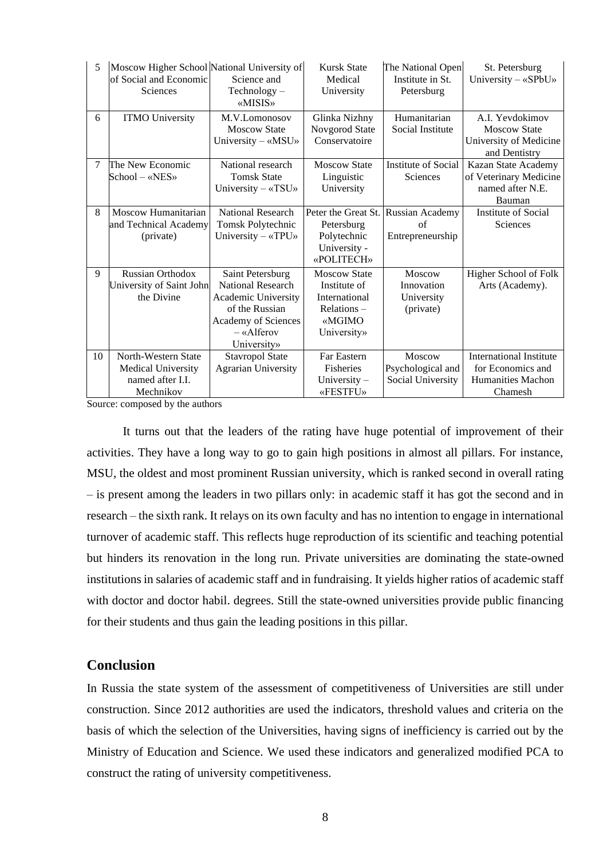| 5      | Moscow Higher School National University of<br>of Social and Economic<br>Sciences | Science and<br>$Technology -$<br>«MISIS»                                                                                                  | <b>Kursk State</b><br>Medical<br>University                                                  | The National Open<br>Institute in St.<br>Petersburg | St. Petersburg<br>University - «SPbU»                                                      |
|--------|-----------------------------------------------------------------------------------|-------------------------------------------------------------------------------------------------------------------------------------------|----------------------------------------------------------------------------------------------|-----------------------------------------------------|--------------------------------------------------------------------------------------------|
| 6      | <b>ITMO University</b>                                                            | M.V.Lomonosov<br><b>Moscow State</b><br>University - «MSU»                                                                                | Glinka Nizhny<br>Novgorod State<br>Conservatoire                                             | Humanitarian<br>Social Institute                    | A.I. Yevdokimov<br><b>Moscow State</b><br>University of Medicine<br>and Dentistry          |
| $\tau$ | The New Economic<br>School – «NES»                                                | National research<br><b>Tomsk State</b><br>University $-\alpha$ TSU»                                                                      | <b>Moscow State</b><br>Linguistic<br>University                                              | Institute of Social<br>Sciences                     | Kazan State Academy<br>of Veterinary Medicine<br>named after N.E.<br>Bauman                |
| 8      | Moscow Humanitarian<br>and Technical Academy<br>(private)                         | <b>National Research</b><br>Tomsk Polytechnic<br>University $-\alpha TPU$                                                                 | Peter the Great St.<br>Petersburg<br>Polytechnic<br>University -<br>«POLITECH»               | Russian Academy<br>of<br>Entrepreneurship           | <b>Institute of Social</b><br>Sciences                                                     |
| 9      | <b>Russian Orthodox</b><br>University of Saint John<br>the Divine                 | Saint Petersburg<br>National Research<br>Academic University<br>of the Russian<br>Academy of Sciences<br>$-\kappa$ Alferov<br>University» | <b>Moscow State</b><br>Institute of<br>International<br>Relations –<br>«MGIMO<br>University» | Moscow<br>Innovation<br>University<br>(private)     | Higher School of Folk<br>Arts (Academy).                                                   |
| 10     | North-Western State<br>Medical University<br>named after I.I.<br>Mechnikov        | <b>Stavropol State</b><br><b>Agrarian University</b>                                                                                      | Far Eastern<br><b>Fisheries</b><br>University $-$<br>«FESTFU»                                | Moscow<br>Psychological and<br>Social University    | <b>International Institute</b><br>for Economics and<br><b>Humanities Machon</b><br>Chamesh |

Source: composed by the authors

It turns out that the leaders of the rating have huge potential of improvement of their activities. They have a long way to go to gain high positions in almost all pillars. For instance, MSU, the oldest and most prominent Russian university, which is ranked second in overall rating – is present among the leaders in two pillars only: in academic staff it has got the second and in research – the sixth rank. It relays on its own faculty and has no intention to engage in international turnover of academic staff. This reflects huge reproduction of its scientific and teaching potential but hinders its renovation in the long run. Private universities are dominating the state-owned institutions in salaries of academic staff and in fundraising. It yields higher ratios of academic staff with doctor and doctor habil. degrees. Still the state-owned universities provide public financing for their students and thus gain the leading positions in this pillar.

## **Conclusion**

In Russia the state system of the assessment of competitiveness of Universities are still under construction. Since 2012 authorities are used the indicators, threshold values and criteria on the basis of which the selection of the Universities, having signs of inefficiency is carried out by the Ministry of Education and Science. We used these indicators and generalized modified PCA to construct the rating of university competitiveness.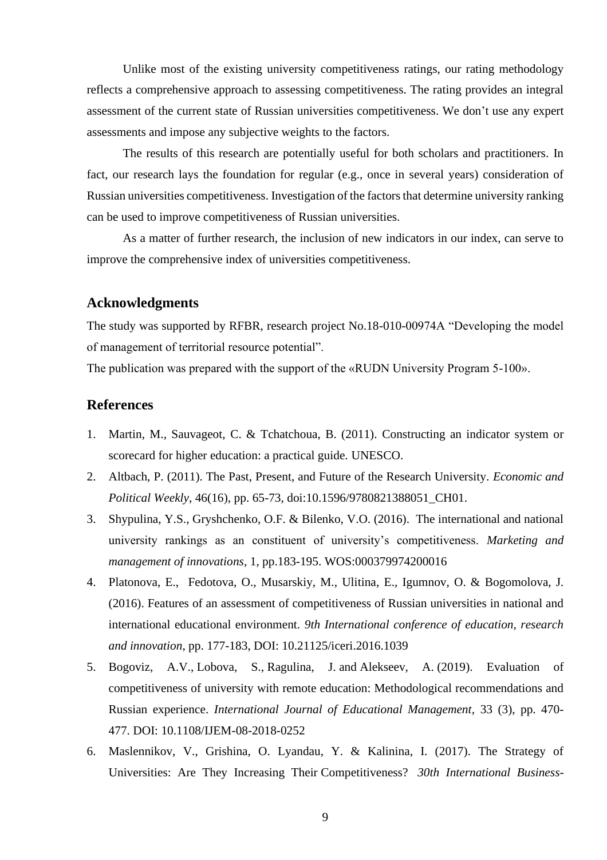Unlike most of the existing university competitiveness ratings, our rating methodology reflects a comprehensive approach to assessing competitiveness. The rating provides an integral assessment of the current state of Russian universities competitiveness. We don't use any expert assessments and impose any subjective weights to the factors.

The results of this research are potentially useful for both scholars and practitioners. In fact, our research lays the foundation for regular (e.g., once in several years) consideration of Russian universities competitiveness. Investigation of the factors that determine university ranking can be used to improve competitiveness of Russian universities.

As a matter of further research, the inclusion of new indicators in our index, can serve to improve the comprehensive index of universities competitiveness.

### **Acknowledgments**

The study was supported by RFBR, research project No.18-010-00974А "Developing the model of management of territorial resource potential".

The publication was prepared with the support of the «RUDN University Program 5-100».

### **References**

- 1. Martin, M., Sauvageot, C. & Tchatchoua, B. (2011). Constructing an indicator system or scorecard for higher education: a practical guide. UNESCO.
- 2. Altbach, P. (2011). The Past, Present, and Future of the Research University. *Economic and Political Weekly*, 46(16), pp. 65-73, doi:10.1596/9780821388051\_CH01.
- 3. Shypulina, Y.S., Gryshchenko, O.F. & Bilenko, V.O. (2016). The international and national university rankings as an constituent of university's competitiveness. *Marketing and management of innovations,* 1, pp.183-195. WOS:000379974200016
- 4. Platonova, E., Fedotova, O., Musarskiy, M., Ulitina, E., Igumnov, O. & Bogomolova, J. (2016). Features of an assessment of competitiveness of Russian universities in national and international educational environment. *9th International conference of education, research and innovation*, pp. 177-183, DOI: 10.21125/iceri.2016.1039
- 5. Bogoviz, A.V., Lobova, S., Ragulina, J. and Alekseev, A. (2019). Evaluation of competitiveness of university with remote education: Methodological recommendations and Russian experience. *International Journal of Educational Management,* 33 (3), pp. 470- 477. DOI: 10.1108/IJEM-08-2018-0252
- 6. Maslennikov, V., Grishina, O. Lyandau, Y. & Kalinina, I. (2017). The Strategy of Universities: Are They Increasing Their Competitiveness? *30th International Business-*